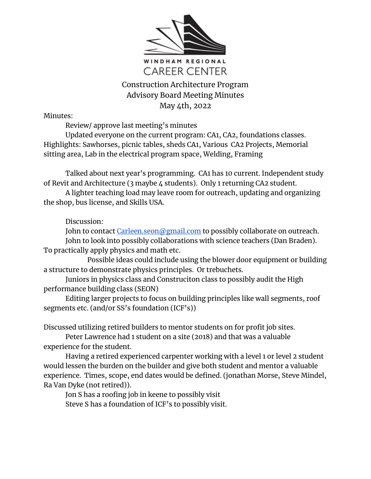

## Construction Architecture Program Advisory Board Meeting Minutes May 4th, 2022

Minutes:

Review/ approve last meeting's minutes

Updated everyone on the current program: CA1, CA2, foundations classes. Highlights: Sawhorses, picnic tables, sheds CA1, Various CA2 Projects, Memorial sitting area, Lab in the electrical program space, Welding, Framing

Talked about next year's programming. CA1 has 10 current. Independent study of Revit and Architecture (3 maybe 4 students). Only 1 returning CA2 student.

A lighter teaching load may leave room for outreach, updating and organizing the shop, bus license, and Skills USA.

## Discussion:

John to contact [Carleen.seon@gmail.com](mailto:Carleen.seon@gmial.com) to possibly collaborate on outreach. John to look into possibly collaborations with science teachers (Dan Braden). To practically apply physics and math etc.

Possible ideas could include using the blower door equipment or building a structure to demonstrate physics principles. Or trebuchets.

Juniors in physics class and Construciton class to possibly audit the High performance building class (SEON)

Editing larger projects to focus on building principles like wall segments, roof segments etc. (and/or SS's foundation (ICF's))

Discussed utilizing retired builders to mentor students on for profit job sites.

Peter Lawrence had 1 student on a site (2018) and that was a valuable experience for the student.

Having a retired experienced carpenter working with a level 1 or level 2 student would lessen the burden on the builder and give both student and mentor a valuable experience. Times, scope, end dates would be defined. (jonathan Morse, Steve Mindel, Ra Van Dyke (not retired)).

Jon S has a roofing job in keene to possibly visit Steve S has a foundation of ICF's to possibly visit.